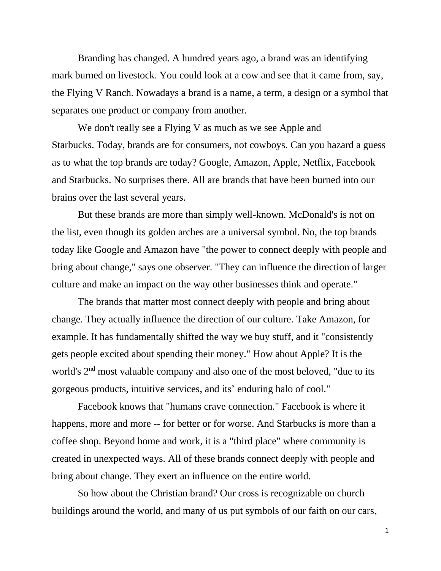Branding has changed. A hundred years ago, a brand was an identifying mark burned on livestock. You could look at a cow and see that it came from, say, the Flying V Ranch. Nowadays a brand is a name, a term, a design or a symbol that separates one product or company from another.

We don't really see a Flying V as much as we see Apple and Starbucks. Today, brands are for consumers, not cowboys. Can you hazard a guess as to what the top brands are today? Google, Amazon, Apple, Netflix, Facebook and Starbucks. No surprises there. All are brands that have been burned into our brains over the last several years.

But these brands are more than simply well-known. McDonald's is not on the list, even though its golden arches are a universal symbol. No, the top brands today like Google and Amazon have "the power to connect deeply with people and bring about change," says one observer. "They can influence the direction of larger culture and make an impact on the way other businesses think and operate."

The brands that matter most connect deeply with people and bring about change. They actually influence the direction of our culture. Take Amazon, for example. It has fundamentally shifted the way we buy stuff, and it "consistently gets people excited about spending their money." How about Apple? It is the world's 2<sup>nd</sup> most valuable company and also one of the most beloved, "due to its gorgeous products, intuitive services, and its' enduring halo of cool."

Facebook knows that "humans crave connection." Facebook is where it happens, more and more -- for better or for worse. And Starbucks is more than a coffee shop. Beyond home and work, it is a "third place" where community is created in unexpected ways. All of these brands connect deeply with people and bring about change. They exert an influence on the entire world.

So how about the Christian brand? Our cross is recognizable on church buildings around the world, and many of us put symbols of our faith on our cars,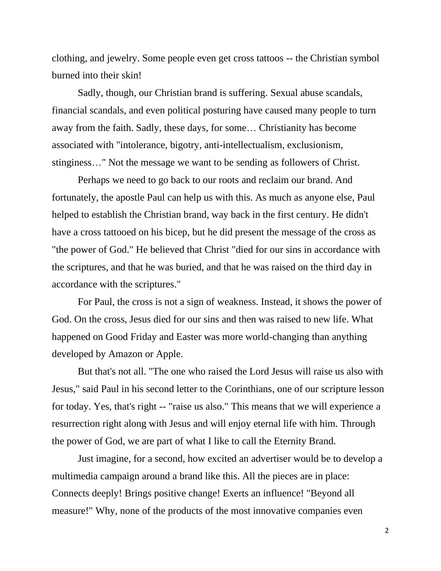clothing, and jewelry. Some people even get cross tattoos -- the Christian symbol burned into their skin!

Sadly, though, our Christian brand is suffering. Sexual abuse scandals, financial scandals, and even political posturing have caused many people to turn away from the faith. Sadly, these days, for some… Christianity has become associated with "intolerance, bigotry, anti-intellectualism, exclusionism, stinginess…" Not the message we want to be sending as followers of Christ.

Perhaps we need to go back to our roots and reclaim our brand. And fortunately, the apostle Paul can help us with this. As much as anyone else, Paul helped to establish the Christian brand, way back in the first century. He didn't have a cross tattooed on his bicep, but he did present the message of the cross as "the power of God." He believed that Christ "died for our sins in accordance with the scriptures, and that he was buried, and that he was raised on the third day in accordance with the scriptures."

For Paul, the cross is not a sign of weakness. Instead, it shows the power of God. On the cross, Jesus died for our sins and then was raised to new life. What happened on Good Friday and Easter was more world-changing than anything developed by Amazon or Apple.

But that's not all. "The one who raised the Lord Jesus will raise us also with Jesus," said Paul in his second letter to the Corinthians, one of our scripture lesson for today. Yes, that's right -- "raise us also." This means that we will experience a resurrection right along with Jesus and will enjoy eternal life with him. Through the power of God, we are part of what I like to call the Eternity Brand.

Just imagine, for a second, how excited an advertiser would be to develop a multimedia campaign around a brand like this. All the pieces are in place: Connects deeply! Brings positive change! Exerts an influence! "Beyond all measure!" Why, none of the products of the most innovative companies even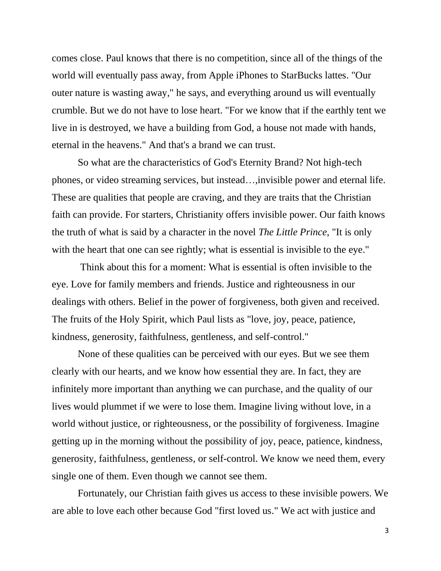comes close. Paul knows that there is no competition, since all of the things of the world will eventually pass away, from Apple iPhones to StarBucks lattes. "Our outer nature is wasting away," he says, and everything around us will eventually crumble. But we do not have to lose heart. "For we know that if the earthly tent we live in is destroyed, we have a building from God, a house not made with hands, eternal in the heavens." And that's a brand we can trust.

So what are the characteristics of God's Eternity Brand? Not high-tech phones, or video streaming services, but instead…,invisible power and eternal life. These are qualities that people are craving, and they are traits that the Christian faith can provide. For starters, Christianity offers invisible power. Our faith knows the truth of what is said by a character in the novel *The Little Prince*, "It is only with the heart that one can see rightly; what is essential is invisible to the eye."

Think about this for a moment: What is essential is often invisible to the eye. Love for family members and friends. Justice and righteousness in our dealings with others. Belief in the power of forgiveness, both given and received. The fruits of the Holy Spirit, which Paul lists as "love, joy, peace, patience, kindness, generosity, faithfulness, gentleness, and self-control."

None of these qualities can be perceived with our eyes. But we see them clearly with our hearts, and we know how essential they are. In fact, they are infinitely more important than anything we can purchase, and the quality of our lives would plummet if we were to lose them. Imagine living without love, in a world without justice, or righteousness, or the possibility of forgiveness. Imagine getting up in the morning without the possibility of joy, peace, patience, kindness, generosity, faithfulness, gentleness, or self-control. We know we need them, every single one of them. Even though we cannot see them.

Fortunately, our Christian faith gives us access to these invisible powers. We are able to love each other because God "first loved us." We act with justice and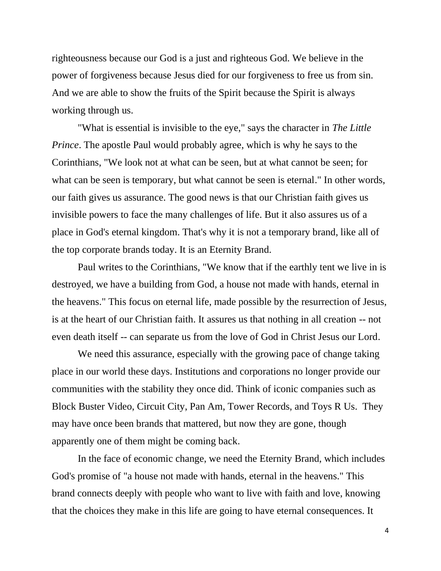righteousness because our God is a just and righteous God. We believe in the power of forgiveness because Jesus died for our forgiveness to free us from sin. And we are able to show the fruits of the Spirit because the Spirit is always working through us.

"What is essential is invisible to the eye," says the character in *The Little Prince*. The apostle Paul would probably agree, which is why he says to the Corinthians, "We look not at what can be seen, but at what cannot be seen; for what can be seen is temporary, but what cannot be seen is eternal." In other words, our faith gives us assurance. The good news is that our Christian faith gives us invisible powers to face the many challenges of life. But it also assures us of a place in God's eternal kingdom. That's why it is not a temporary brand, like all of the top corporate brands today. It is an Eternity Brand.

Paul writes to the Corinthians, "We know that if the earthly tent we live in is destroyed, we have a building from God, a house not made with hands, eternal in the heavens." This focus on eternal life, made possible by the resurrection of Jesus, is at the heart of our Christian faith. It assures us that nothing in all creation -- not even death itself -- can separate us from the love of God in Christ Jesus our Lord.

We need this assurance, especially with the growing pace of change taking place in our world these days. Institutions and corporations no longer provide our communities with the stability they once did. Think of iconic companies such as Block Buster Video, Circuit City, Pan Am, Tower Records, and Toys R Us. They may have once been brands that mattered, but now they are gone, though apparently one of them might be coming back.

In the face of economic change, we need the Eternity Brand, which includes God's promise of "a house not made with hands, eternal in the heavens." This brand connects deeply with people who want to live with faith and love, knowing that the choices they make in this life are going to have eternal consequences. It